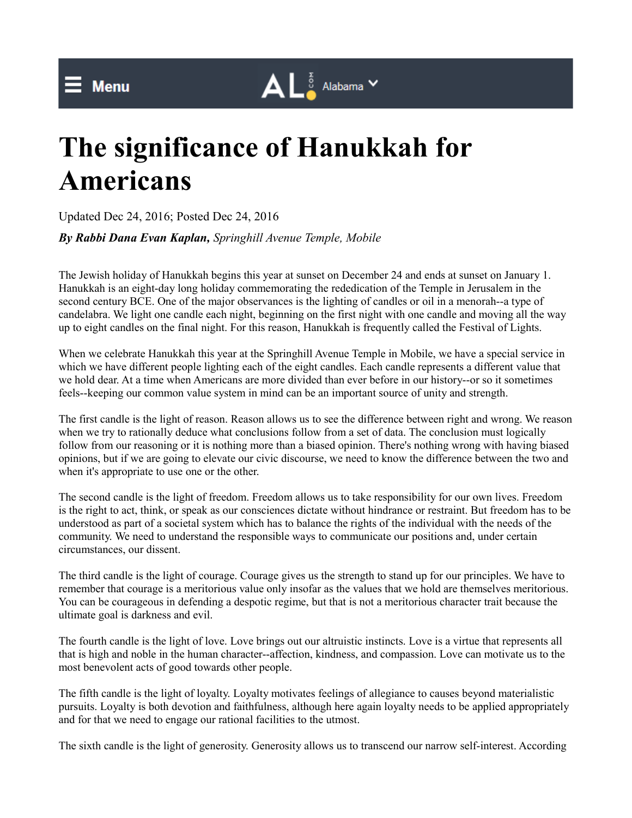## **The significance of Hanukkah for Americans**

Updated Dec 24, 2016; Posted Dec 24, 2016

*By Rabbi Dana Evan Kaplan, Springhill Avenue Temple, Mobile*

The Jewish holiday of Hanukkah begins this year at sunset on December 24 and ends at sunset on January 1. Hanukkah is an eight-day long holiday commemorating the rededication of the Temple in Jerusalem in the second century BCE. One of the major observances is the lighting of candles or oil in a menorah--a type of candelabra. We light one candle each night, beginning on the first night with one candle and moving all the way up to eight candles on the final night. For this reason, Hanukkah is frequently called the Festival of Lights.

 $\mathbf{A} \mathsf{L}$   $\frac{5}{8}$  Alabama  $\mathsf{v}$ 

When we celebrate Hanukkah this year at the Springhill Avenue Temple in Mobile, we have a special service in which we have different people lighting each of the eight candles. Each candle represents a different value that we hold dear. At a time when Americans are more divided than ever before in our history--or so it sometimes feels--keeping our common value system in mind can be an important source of unity and strength.

The first candle is the light of reason. Reason allows us to see the difference between right and wrong. We reason when we try to rationally deduce what conclusions follow from a set of data. The conclusion must logically follow from our reasoning or it is nothing more than a biased opinion. There's nothing wrong with having biased opinions, but if we are going to elevate our civic discourse, we need to know the difference between the two and when it's appropriate to use one or the other.

The second candle is the light of freedom. Freedom allows us to take responsibility for our own lives. Freedom is the right to act, think, or speak as our consciences dictate without hindrance or restraint. But freedom has to be understood as part of a societal system which has to balance the rights of the individual with the needs of the community. We need to understand the responsible ways to communicate our positions and, under certain circumstances, our dissent.

The third candle is the light of courage. Courage gives us the strength to stand up for our principles. We have to remember that courage is a meritorious value only insofar as the values that we hold are themselves meritorious. You can be courageous in defending a despotic regime, but that is not a meritorious character trait because the ultimate goal is darkness and evil.

The fourth candle is the light of love. Love brings out our altruistic instincts. Love is a virtue that represents all that is high and noble in the human character--affection, kindness, and compassion. Love can motivate us to the most benevolent acts of good towards other people.

The fifth candle is the light of loyalty. Loyalty motivates feelings of allegiance to causes beyond materialistic pursuits. Loyalty is both devotion and faithfulness, although here again loyalty needs to be applied appropriately and for that we need to engage our rational facilities to the utmost.

The sixth candle is the light of generosity. Generosity allows us to transcend our narrow self-interest. According